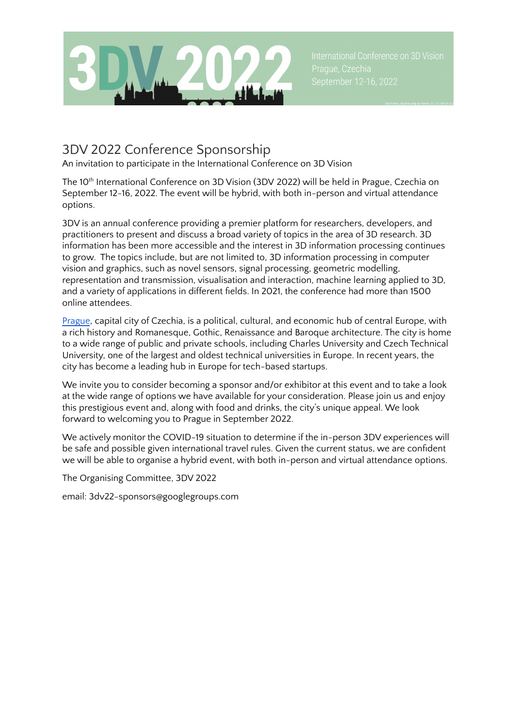

# 3DV 2022 Conference Sponsorship

An invitation to participate in the International Conference on 3D Vision

The 10<sup>th</sup> International Conference on 3D Vision (3DV 2022) will be held in Prague, Czechia on September 12-16, 2022. The event will be hybrid, with both in-person and virtual attendance options.

3DV is an annual conference providing a premier platform for researchers, developers, and practitioners to present and discuss a broad variety of topics in the area of 3D research. 3D information has been more accessible and the interest in 3D information processing continues to grow. The topics include, but are not limited to, 3D information processing in computer vision and graphics, such as novel sensors, signal processing, geometric modelling, representation and transmission, visualisation and interaction, machine learning applied to 3D, and a variety of applications in different fields. In 2021, the conference had more than 1500 online attendees.

[Prague](https://www.prague.eu/en), capital city of Czechia, is a political, cultural, and economic hub of central Europe, with a rich history and Romanesque, Gothic, Renaissance and Baroque architecture. The city is home to a wide range of public and private schools, including Charles University and Czech Technical University, one of the largest and oldest technical universities in Europe. In recent years, the city has become a leading hub in Europe for tech-based startups.

We invite you to consider becoming a sponsor and/or exhibitor at this event and to take a look at the wide range of options we have available for your consideration. Please join us and enjoy this prestigious event and, along with food and drinks, the city's unique appeal. We look forward to welcoming you to Prague in September 2022.

We actively monitor the COVID-19 situation to determine if the in-person 3DV experiences will be safe and possible given international travel rules. Given the current status, we are confident we will be able to organise a hybrid event, with both in-person and virtual attendance options.

The Organising Committee, 3DV 2022

email: 3dv22-sponsors@googlegroups.com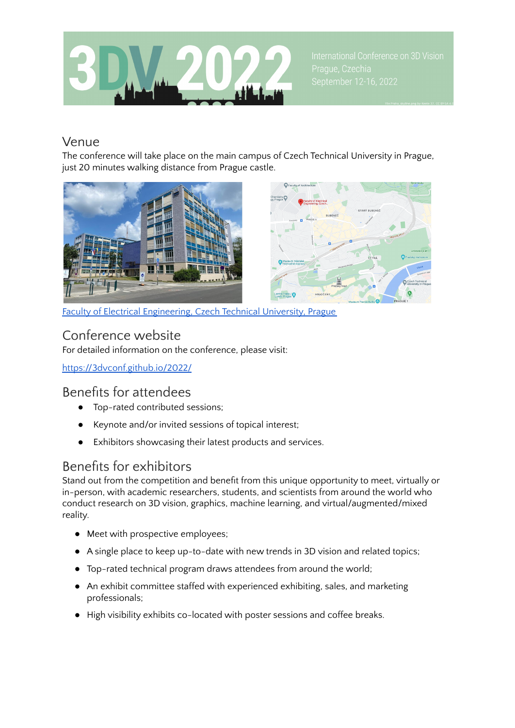

#### Venue

The conference will take place on the main campus of Czech Technical University in Prague, just 20 minutes walking distance from Prague castle.





Faculty of Electrical [Engineering,](https://www.google.com/maps/place/Faculty+of+Electrical+Engineering,+Czech+Technical+University+in+Prague/@50.0921165,14.394828,14z/data=!4m5!3m4!1s0x470b953b18badba7:0xff08f7e48420083f!8m2!3d50.102629!4d14.393031?hl=en) Czech Technical University, Prague

### Conference website

For detailed information on the conference, please visit:

<https://3dvconf.github.io/2022/>

#### Benefits for attendees

- Top-rated contributed sessions;
- Keynote and/or invited sessions of topical interest;
- Exhibitors showcasing their latest products and services.

## Benefits for exhibitors

Stand out from the competition and benefit from this unique opportunity to meet, virtually or in-person, with academic researchers, students, and scientists from around the world who conduct research on 3D vision, graphics, machine learning, and virtual/augmented/mixed reality.

- Meet with prospective employees;
- A single place to keep up-to-date with new trends in 3D vision and related topics;
- Top-rated technical program draws attendees from around the world;
- An exhibit committee staffed with experienced exhibiting, sales, and marketing professionals;
- High visibility exhibits co-located with poster sessions and coffee breaks.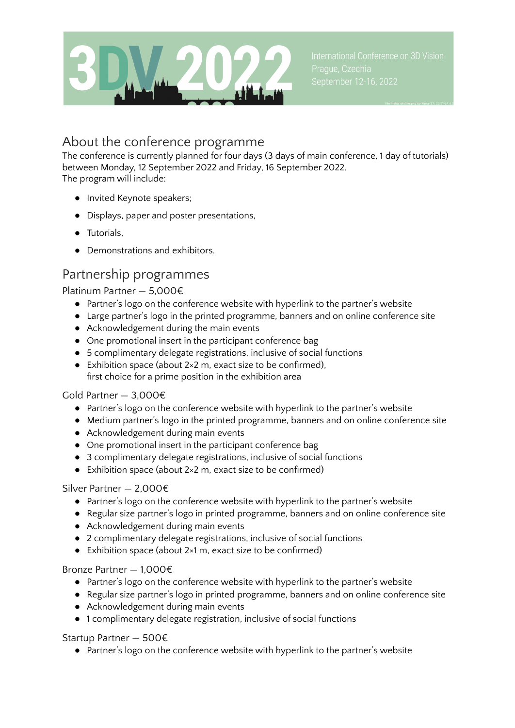

### About the conference programme

The conference is currently planned for four days (3 days of main conference, 1 day of tutorials) between Monday, 12 September 2022 and Friday, 16 September 2022. The program will include:

- Invited Keynote speakers;
- Displays, paper and poster presentations,
- Tutorials,
- Demonstrations and exhibitors.

### Partnership programmes

Platinum Partner — 5,000€

- Partner's logo on the conference website with hyperlink to the partner's website
- Large partner's logo in the printed programme, banners and on online conference site
- Acknowledgement during the main events
- One promotional insert in the participant conference bag
- 5 complimentary delegate registrations, inclusive of social functions
- Exhibition space (about  $2 \times 2$  m, exact size to be confirmed), first choice for a prime position in the exhibition area

#### Gold Partner — 3,000€

- Partner's logo on the conference website with hyperlink to the partner's website
- Medium partner's logo in the printed programme, banners and on online conference site
- Acknowledgement during main events
- One promotional insert in the participant conference bag
- 3 complimentary delegate registrations, inclusive of social functions
- Exhibition space (about  $2×2$  m, exact size to be confirmed)

#### Silver Partner — 2,000€

- Partner's logo on the conference website with hyperlink to the partner's website
- Regular size partner's logo in printed programme, banners and on online conference site
- Acknowledgement during main events
- 2 complimentary delegate registrations, inclusive of social functions
- Exhibition space (about  $2×1$  m, exact size to be confirmed)

#### Bronze Partner — 1,000€

- Partner's logo on the conference website with hyperlink to the partner's website
- Regular size partner's logo in printed programme, banners and on online conference site
- Acknowledgement during main events
- 1 complimentary delegate registration, inclusive of social functions

Startup Partner — 500€

● Partner's logo on the conference website with hyperlink to the partner's website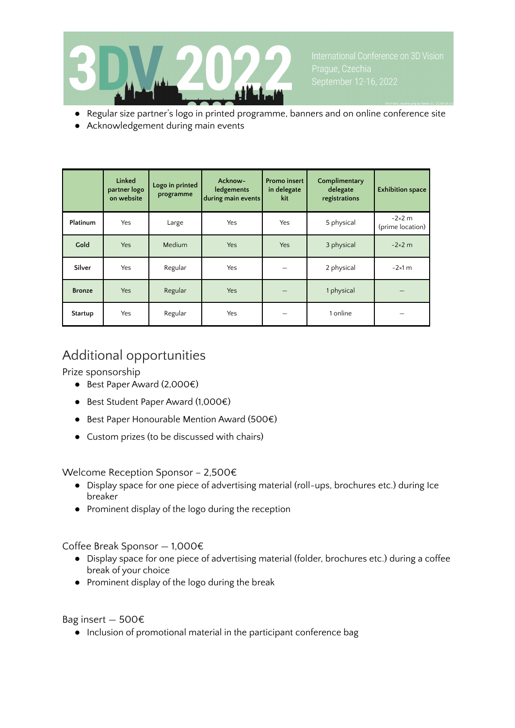

- Regular size partner's logo in printed programme, banners and on online conference site
- Acknowledgement during main events

|               | Linked<br>partner logo<br>on website | Logo in printed<br>programme | Acknow-<br>ledgements<br>during main events | <b>Promo insert</b><br>in delegate<br>kit | Complimentary<br>delegate<br>registrations | <b>Exhibition space</b>           |
|---------------|--------------------------------------|------------------------------|---------------------------------------------|-------------------------------------------|--------------------------------------------|-----------------------------------|
| Platinum      | Yes                                  | Large                        | Yes                                         | Yes                                       | 5 physical                                 | $-2\times2$ m<br>(prime location) |
| Gold          | <b>Yes</b>                           | Medium                       | Yes                                         | Yes                                       | 3 physical                                 | $-2\times2$ m                     |
| Silver        | Yes                                  | Regular                      | Yes                                         |                                           | 2 physical                                 | $-2\times1$ m                     |
| <b>Bronze</b> | Yes                                  | Regular                      | Yes                                         |                                           | 1 physical                                 |                                   |
| Startup       | Yes                                  | Regular                      | Yes                                         |                                           | 1 online                                   |                                   |

# Additional opportunities

Prize sponsorship

- Best Paper Award (2,000€)
- Best Student Paper Award (1,000€)
- Best Paper Honourable Mention Award (500€)
- Custom prizes (to be discussed with chairs)

Welcome Reception Sponsor – 2,500€

- Display space for one piece of advertising material (roll-ups, brochures etc.) during Ice breaker
- Prominent display of the logo during the reception

Coffee Break Sponsor — 1,000€

- Display space for one piece of advertising material (folder, brochures etc.) during a coffee break of your choice
- Prominent display of the logo during the break

Bag insert — 500€

● Inclusion of promotional material in the participant conference bag